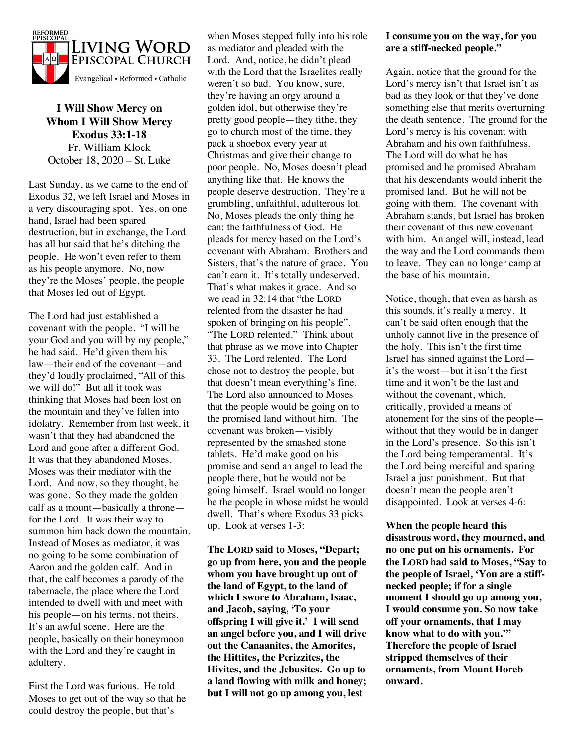

**I Will Show Mercy on Whom I Will Show Mercy Exodus 33:1-18** Fr. William Klock October 18, 2020 – St. Luke

Last Sunday, as we came to the end of Exodus 32, we left Israel and Moses in a very discouraging spot. Yes, on one hand, Israel had been spared destruction, but in exchange, the Lord has all but said that he's ditching the people. He won't even refer to them as his people anymore. No, now they're the Moses' people, the people that Moses led out of Egypt.

The Lord had just established a covenant with the people. "I will be your God and you will by my people," he had said. He'd given them his law—their end of the covenant—and they'd loudly proclaimed, "All of this we will do!" But all it took was thinking that Moses had been lost on the mountain and they've fallen into idolatry. Remember from last week, it wasn't that they had abandoned the Lord and gone after a different God. It was that they abandoned Moses. Moses was their mediator with the Lord. And now, so they thought, he was gone. So they made the golden calf as a mount—basically a throne for the Lord. It was their way to summon him back down the mountain. Instead of Moses as mediator, it was no going to be some combination of Aaron and the golden calf. And in that, the calf becomes a parody of the tabernacle, the place where the Lord intended to dwell with and meet with his people—on his terms, not theirs. It's an awful scene. Here are the people, basically on their honeymoon with the Lord and they're caught in adultery.

First the Lord was furious. He told Moses to get out of the way so that he could destroy the people, but that's

when Moses stepped fully into his role as mediator and pleaded with the Lord. And, notice, he didn't plead with the Lord that the Israelites really weren't so bad. You know, sure, they're having an orgy around a golden idol, but otherwise they're pretty good people—they tithe, they go to church most of the time, they pack a shoebox every year at Christmas and give their change to poor people. No, Moses doesn't plead anything like that. He knows the people deserve destruction. They're a grumbling, unfaithful, adulterous lot. No, Moses pleads the only thing he can: the faithfulness of God. He pleads for mercy based on the Lord's covenant with Abraham. Brothers and Sisters, that's the nature of grace. You can't earn it. It's totally undeserved. That's what makes it grace. And so we read in 32:14 that "the LORD relented from the disaster he had spoken of bringing on his people". "The LORD relented." Think about that phrase as we move into Chapter 33. The Lord relented. The Lord chose not to destroy the people, but that doesn't mean everything's fine. The Lord also announced to Moses that the people would be going on to the promised land without him. The covenant was broken—visibly represented by the smashed stone tablets. He'd make good on his promise and send an angel to lead the people there, but he would not be going himself. Israel would no longer be the people in whose midst he would dwell. That's where Exodus 33 picks up. Look at verses 1-3:

**The LORD said to Moses, "Depart; go up from here, you and the people whom you have brought up out of the land of Egypt, to the land of which I swore to Abraham, Isaac, and Jacob, saying, 'To your offspring I will give it.' I will send an angel before you, and I will drive out the Canaanites, the Amorites, the Hittites, the Perizzites, the Hivites, and the Jebusites. Go up to a land flowing with milk and honey; but I will not go up among you, lest** 

### **I consume you on the way, for you are a stiff-necked people."**

Again, notice that the ground for the Lord's mercy isn't that Israel isn't as bad as they look or that they've done something else that merits overturning the death sentence. The ground for the Lord's mercy is his covenant with Abraham and his own faithfulness. The Lord will do what he has promised and he promised Abraham that his descendants would inherit the promised land. But he will not be going with them. The covenant with Abraham stands, but Israel has broken their covenant of this new covenant with him. An angel will, instead, lead the way and the Lord commands them to leave. They can no longer camp at the base of his mountain.

Notice, though, that even as harsh as this sounds, it's really a mercy. It can't be said often enough that the unholy cannot live in the presence of the holy. This isn't the first time Israel has sinned against the Lord it's the worst—but it isn't the first time and it won't be the last and without the covenant, which, critically, provided a means of atonement for the sins of the people without that they would be in danger in the Lord's presence. So this isn't the Lord being temperamental. It's the Lord being merciful and sparing Israel a just punishment. But that doesn't mean the people aren't disappointed. Look at verses 4-6:

**When the people heard this disastrous word, they mourned, and no one put on his ornaments. For the LORD had said to Moses, "Say to the people of Israel, 'You are a stiffnecked people; if for a single moment I should go up among you, I would consume you. So now take off your ornaments, that I may know what to do with you.'" Therefore the people of Israel stripped themselves of their ornaments, from Mount Horeb onward.**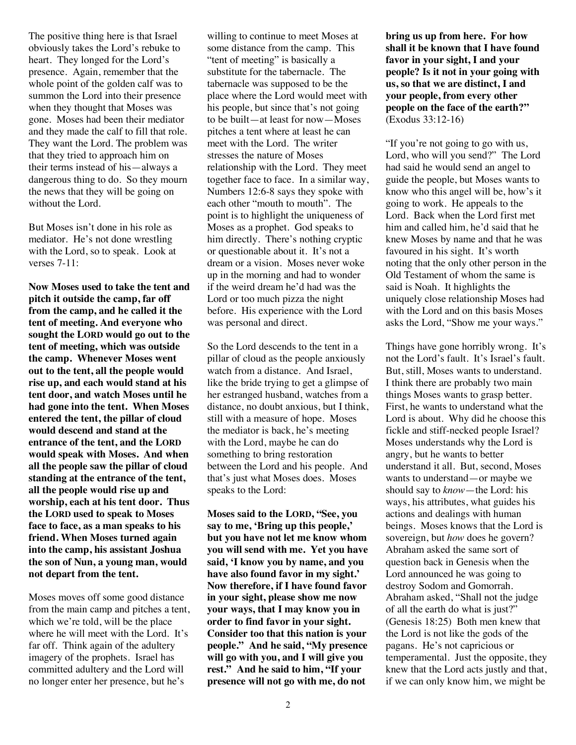The positive thing here is that Israel obviously takes the Lord's rebuke to heart. They longed for the Lord's presence. Again, remember that the whole point of the golden calf was to summon the Lord into their presence when they thought that Moses was gone. Moses had been their mediator and they made the calf to fill that role. They want the Lord. The problem was that they tried to approach him on their terms instead of his—always a dangerous thing to do. So they mourn the news that they will be going on without the Lord.

But Moses isn't done in his role as mediator. He's not done wrestling with the Lord, so to speak. Look at verses 7-11:

**Now Moses used to take the tent and pitch it outside the camp, far off from the camp, and he called it the tent of meeting. And everyone who sought the LORD would go out to the tent of meeting, which was outside the camp. Whenever Moses went out to the tent, all the people would rise up, and each would stand at his tent door, and watch Moses until he had gone into the tent. When Moses entered the tent, the pillar of cloud would descend and stand at the entrance of the tent, and the LORD would speak with Moses. And when all the people saw the pillar of cloud standing at the entrance of the tent, all the people would rise up and worship, each at his tent door. Thus the LORD used to speak to Moses face to face, as a man speaks to his friend. When Moses turned again into the camp, his assistant Joshua the son of Nun, a young man, would not depart from the tent.**

Moses moves off some good distance from the main camp and pitches a tent, which we're told, will be the place where he will meet with the Lord. It's far off. Think again of the adultery imagery of the prophets. Israel has committed adultery and the Lord will no longer enter her presence, but he's

willing to continue to meet Moses at some distance from the camp. This "tent of meeting" is basically a substitute for the tabernacle. The tabernacle was supposed to be the place where the Lord would meet with his people, but since that's not going to be built—at least for now—Moses pitches a tent where at least he can meet with the Lord. The writer stresses the nature of Moses relationship with the Lord. They meet together face to face. In a similar way, Numbers 12:6-8 says they spoke with each other "mouth to mouth". The point is to highlight the uniqueness of Moses as a prophet. God speaks to him directly. There's nothing cryptic or questionable about it. It's not a dream or a vision. Moses never woke up in the morning and had to wonder if the weird dream he'd had was the Lord or too much pizza the night before. His experience with the Lord was personal and direct.

So the Lord descends to the tent in a pillar of cloud as the people anxiously watch from a distance. And Israel, like the bride trying to get a glimpse of her estranged husband, watches from a distance, no doubt anxious, but I think, still with a measure of hope. Moses the mediator is back, he's meeting with the Lord, maybe he can do something to bring restoration between the Lord and his people. And that's just what Moses does. Moses speaks to the Lord:

**Moses said to the LORD, "See, you say to me, 'Bring up this people,' but you have not let me know whom you will send with me. Yet you have said, 'I know you by name, and you have also found favor in my sight.' Now therefore, if I have found favor in your sight, please show me now your ways, that I may know you in order to find favor in your sight. Consider too that this nation is your people." And he said, "My presence will go with you, and I will give you rest." And he said to him, "If your presence will not go with me, do not** 

**bring us up from here. For how shall it be known that I have found favor in your sight, I and your people? Is it not in your going with us, so that we are distinct, I and your people, from every other people on the face of the earth?"** (Exodus 33:12-16)

"If you're not going to go with us, Lord, who will you send?" The Lord had said he would send an angel to guide the people, but Moses wants to know who this angel will be, how's it going to work. He appeals to the Lord. Back when the Lord first met him and called him, he'd said that he knew Moses by name and that he was favoured in his sight. It's worth noting that the only other person in the Old Testament of whom the same is said is Noah. It highlights the uniquely close relationship Moses had with the Lord and on this basis Moses asks the Lord, "Show me your ways."

Things have gone horribly wrong. It's not the Lord's fault. It's Israel's fault. But, still, Moses wants to understand. I think there are probably two main things Moses wants to grasp better. First, he wants to understand what the Lord is about. Why did he choose this fickle and stiff-necked people Israel? Moses understands why the Lord is angry, but he wants to better understand it all. But, second, Moses wants to understand—or maybe we should say to *know*—the Lord: his ways, his attributes, what guides his actions and dealings with human beings. Moses knows that the Lord is sovereign, but *how* does he govern? Abraham asked the same sort of question back in Genesis when the Lord announced he was going to destroy Sodom and Gomorrah. Abraham asked, "Shall not the judge of all the earth do what is just?" (Genesis 18:25) Both men knew that the Lord is not like the gods of the pagans. He's not capricious or temperamental. Just the opposite, they knew that the Lord acts justly and that, if we can only know him, we might be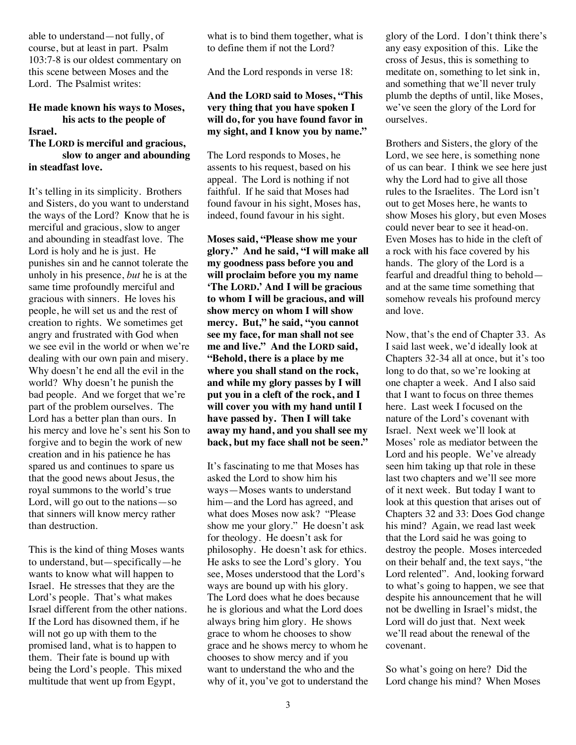able to understand—not fully, of course, but at least in part. Psalm 103:7-8 is our oldest commentary on this scene between Moses and the Lord. The Psalmist writes:

# **He made known his ways to Moses, his acts to the people of**

#### **Israel.**

#### **The LORD is merciful and gracious, slow to anger and abounding in steadfast love.**

It's telling in its simplicity. Brothers and Sisters, do you want to understand the ways of the Lord? Know that he is merciful and gracious, slow to anger and abounding in steadfast love. The Lord is holy and he is just. He punishes sin and he cannot tolerate the unholy in his presence, *but* he is at the same time profoundly merciful and gracious with sinners. He loves his people, he will set us and the rest of creation to rights. We sometimes get angry and frustrated with God when we see evil in the world or when we're dealing with our own pain and misery. Why doesn't he end all the evil in the world? Why doesn't he punish the bad people. And we forget that we're part of the problem ourselves. The Lord has a better plan than ours. In his mercy and love he's sent his Son to forgive and to begin the work of new creation and in his patience he has spared us and continues to spare us that the good news about Jesus, the royal summons to the world's true Lord, will go out to the nations—so that sinners will know mercy rather than destruction.

This is the kind of thing Moses wants to understand, but—specifically—he wants to know what will happen to Israel. He stresses that they are the Lord's people. That's what makes Israel different from the other nations. If the Lord has disowned them, if he will not go up with them to the promised land, what is to happen to them. Their fate is bound up with being the Lord's people. This mixed multitude that went up from Egypt,

what is to bind them together, what is to define them if not the Lord?

And the Lord responds in verse 18:

## **And the LORD said to Moses, "This very thing that you have spoken I will do, for you have found favor in my sight, and I know you by name."**

The Lord responds to Moses, he assents to his request, based on his appeal. The Lord is nothing if not faithful. If he said that Moses had found favour in his sight, Moses has, indeed, found favour in his sight.

**Moses said, "Please show me your glory." And he said, "I will make all my goodness pass before you and will proclaim before you my name 'The LORD.' And I will be gracious to whom I will be gracious, and will show mercy on whom I will show mercy. But," he said, "you cannot see my face, for man shall not see me and live." And the LORD said, "Behold, there is a place by me where you shall stand on the rock, and while my glory passes by I will put you in a cleft of the rock, and I will cover you with my hand until I have passed by. Then I will take away my hand, and you shall see my back, but my face shall not be seen."**

It's fascinating to me that Moses has asked the Lord to show him his ways—Moses wants to understand him—and the Lord has agreed, and what does Moses now ask? "Please show me your glory." He doesn't ask for theology. He doesn't ask for philosophy. He doesn't ask for ethics. He asks to see the Lord's glory. You see, Moses understood that the Lord's ways are bound up with his glory. The Lord does what he does because he is glorious and what the Lord does always bring him glory. He shows grace to whom he chooses to show grace and he shows mercy to whom he chooses to show mercy and if you want to understand the who and the why of it, you've got to understand the glory of the Lord. I don't think there's any easy exposition of this. Like the cross of Jesus, this is something to meditate on, something to let sink in, and something that we'll never truly plumb the depths of until, like Moses, we've seen the glory of the Lord for ourselves.

Brothers and Sisters, the glory of the Lord, we see here, is something none of us can bear. I think we see here just why the Lord had to give all those rules to the Israelites. The Lord isn't out to get Moses here, he wants to show Moses his glory, but even Moses could never bear to see it head-on. Even Moses has to hide in the cleft of a rock with his face covered by his hands. The glory of the Lord is a fearful and dreadful thing to behold and at the same time something that somehow reveals his profound mercy and love.

Now, that's the end of Chapter 33. As I said last week, we'd ideally look at Chapters 32-34 all at once, but it's too long to do that, so we're looking at one chapter a week. And I also said that I want to focus on three themes here. Last week I focused on the nature of the Lord's covenant with Israel. Next week we'll look at Moses' role as mediator between the Lord and his people. We've already seen him taking up that role in these last two chapters and we'll see more of it next week. But today I want to look at this question that arises out of Chapters 32 and 33: Does God change his mind? Again, we read last week that the Lord said he was going to destroy the people. Moses interceded on their behalf and, the text says, "the Lord relented". And, looking forward to what's going to happen, we see that despite his announcement that he will not be dwelling in Israel's midst, the Lord will do just that. Next week we'll read about the renewal of the covenant.

So what's going on here? Did the Lord change his mind? When Moses